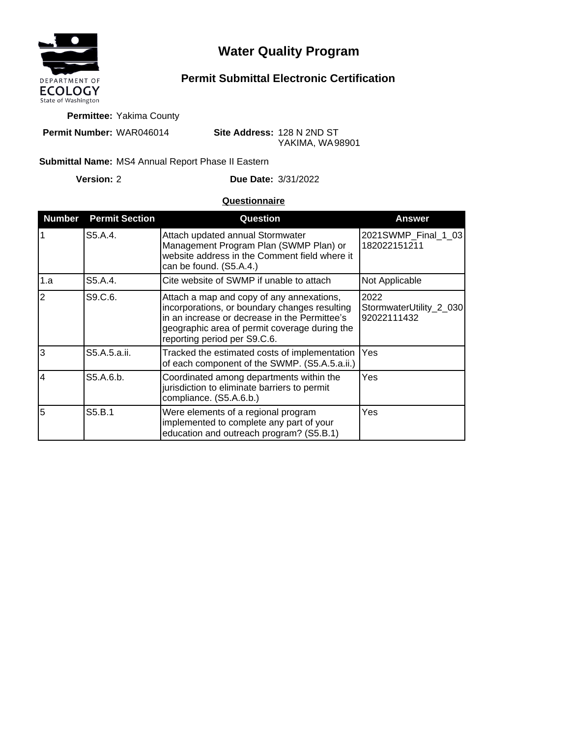

## **Water Quality Program**

## **Permit Submittal Electronic Certification**

**Permittee:** Yakima County

**Permit Number:** WAR046014

**Site Address:** 128 N 2ND ST YAKIMA, WA 98901

## Submittal Name: MS4 Annual Report Phase II Eastern

**Version:**

2 **Due Date:** 3/31/2022

## **Questionnaire**

| <b>Number</b>  | <b>Permit Section</b> | Question                                                                                                                                                                                                                     | <b>Answer</b>                                  |
|----------------|-----------------------|------------------------------------------------------------------------------------------------------------------------------------------------------------------------------------------------------------------------------|------------------------------------------------|
| $\overline{1}$ | S5.A.4.               | Attach updated annual Stormwater<br>Management Program Plan (SWMP Plan) or<br>website address in the Comment field where it<br>can be found. (S5.A.4.)                                                                       | 2021SWMP_Final_1_03<br>182022151211            |
| 1.a            | S5.A.4.               | Cite website of SWMP if unable to attach                                                                                                                                                                                     | Not Applicable                                 |
| $\overline{2}$ | S9.C.6.               | Attach a map and copy of any annexations,<br>incorporations, or boundary changes resulting<br>in an increase or decrease in the Permittee's<br>geographic area of permit coverage during the<br>reporting period per S9.C.6. | 2022<br>StormwaterUtility_2_030<br>92022111432 |
| l3             | S5.A.5.a.ii.          | Tracked the estimated costs of implementation<br>of each component of the SWMP. (S5.A.5.a.ii.)                                                                                                                               | Yes                                            |
| $\overline{4}$ | S5.A.6.b.             | Coordinated among departments within the<br>jurisdiction to eliminate barriers to permit<br>compliance. (S5.A.6.b.)                                                                                                          | Yes                                            |
| 5              | S5.B.1                | Were elements of a regional program<br>implemented to complete any part of your<br>education and outreach program? (S5.B.1)                                                                                                  | Yes                                            |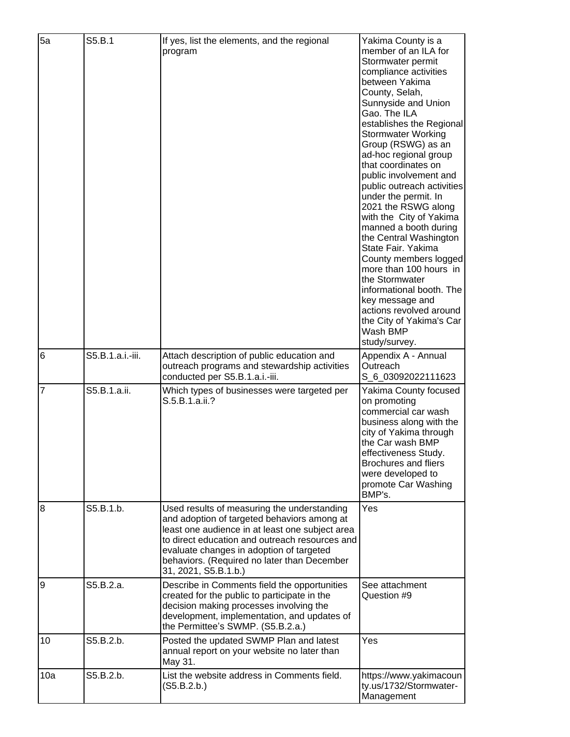| 5a             | S5.B.1           | If yes, list the elements, and the regional<br>program                                                                                                                                                                                                                                                             | Yakima County is a<br>member of an ILA for<br>Stormwater permit<br>compliance activities<br>between Yakima<br>County, Selah,<br>Sunnyside and Union<br>Gao. The ILA<br>establishes the Regional<br><b>Stormwater Working</b><br>Group (RSWG) as an<br>ad-hoc regional group<br>that coordinates on<br>public involvement and<br>public outreach activities<br>under the permit. In<br>2021 the RSWG along<br>with the City of Yakima<br>manned a booth during<br>the Central Washington<br>State Fair. Yakima<br>County members logged<br>more than 100 hours in<br>the Stormwater<br>informational booth. The<br>key message and<br>actions revolved around<br>the City of Yakima's Car<br>Wash BMP<br>study/survey. |
|----------------|------------------|--------------------------------------------------------------------------------------------------------------------------------------------------------------------------------------------------------------------------------------------------------------------------------------------------------------------|-----------------------------------------------------------------------------------------------------------------------------------------------------------------------------------------------------------------------------------------------------------------------------------------------------------------------------------------------------------------------------------------------------------------------------------------------------------------------------------------------------------------------------------------------------------------------------------------------------------------------------------------------------------------------------------------------------------------------|
| 6              | S5.B.1.a.i.-iii. | Attach description of public education and<br>outreach programs and stewardship activities<br>conducted per S5.B.1.a.i.-iii.                                                                                                                                                                                       | Appendix A - Annual<br>Outreach<br>S_6_03092022111623                                                                                                                                                                                                                                                                                                                                                                                                                                                                                                                                                                                                                                                                 |
| $\overline{7}$ | S5.B.1.a.ii.     | Which types of businesses were targeted per<br>S.5.B.1.a.ii.?                                                                                                                                                                                                                                                      | Yakima County focused<br>on promoting<br>commercial car wash<br>business along with the<br>city of Yakima through<br>the Car wash BMP<br>effectiveness Study.<br><b>Brochures and fliers</b><br>were developed to<br>promote Car Washing<br>BMP's.                                                                                                                                                                                                                                                                                                                                                                                                                                                                    |
| 8              | S5.B.1.b.        | Used results of measuring the understanding<br>and adoption of targeted behaviors among at<br>least one audience in at least one subject area<br>to direct education and outreach resources and<br>evaluate changes in adoption of targeted<br>behaviors. (Required no later than December<br>31, 2021, S5.B.1.b.) | Yes                                                                                                                                                                                                                                                                                                                                                                                                                                                                                                                                                                                                                                                                                                                   |
| 9              | S5.B.2.a.        | Describe in Comments field the opportunities<br>created for the public to participate in the<br>decision making processes involving the<br>development, implementation, and updates of<br>the Permittee's SWMP. (S5.B.2.a.)                                                                                        | See attachment<br>Question #9                                                                                                                                                                                                                                                                                                                                                                                                                                                                                                                                                                                                                                                                                         |
| 10             | S5.B.2.b.        | Posted the updated SWMP Plan and latest<br>annual report on your website no later than<br>May 31.                                                                                                                                                                                                                  | Yes                                                                                                                                                                                                                                                                                                                                                                                                                                                                                                                                                                                                                                                                                                                   |
| 10a            | S5.B.2.b.        | List the website address in Comments field.<br>(S5.B.2.b.)                                                                                                                                                                                                                                                         | https://www.yakimacoun<br>ty.us/1732/Stormwater-<br>Management                                                                                                                                                                                                                                                                                                                                                                                                                                                                                                                                                                                                                                                        |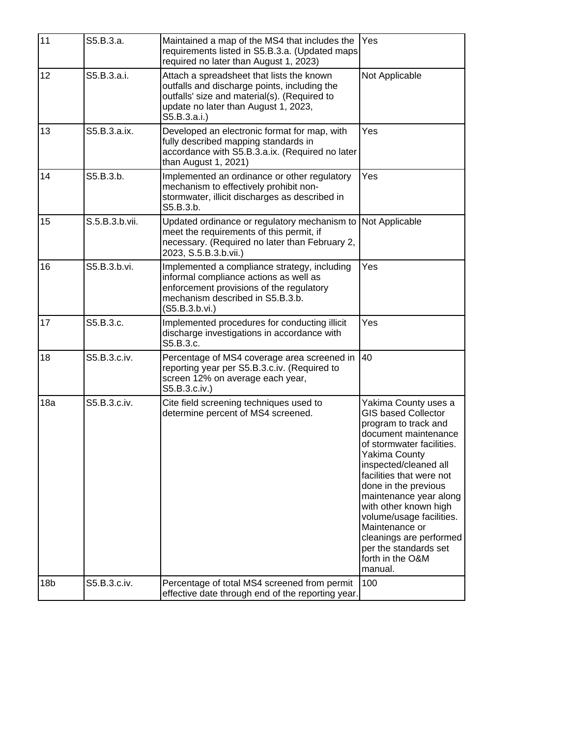| 11              | S5.B.3.a.      | Maintained a map of the MS4 that includes the<br>requirements listed in S5.B.3.a. (Updated maps<br>required no later than August 1, 2023)                                                         | Yes                                                                                                                                                                                                                                                                                                                                                                                                                      |
|-----------------|----------------|---------------------------------------------------------------------------------------------------------------------------------------------------------------------------------------------------|--------------------------------------------------------------------------------------------------------------------------------------------------------------------------------------------------------------------------------------------------------------------------------------------------------------------------------------------------------------------------------------------------------------------------|
| 12              | S5.B.3.a.i.    | Attach a spreadsheet that lists the known<br>outfalls and discharge points, including the<br>outfalls' size and material(s). (Required to<br>update no later than August 1, 2023,<br>S5.B.3.a.i.) | Not Applicable                                                                                                                                                                                                                                                                                                                                                                                                           |
| 13              | S5.B.3.a.ix.   | Developed an electronic format for map, with<br>fully described mapping standards in<br>accordance with S5.B.3.a.ix. (Required no later<br>than August 1, 2021)                                   | Yes                                                                                                                                                                                                                                                                                                                                                                                                                      |
| 14              | S5.B.3.b.      | Implemented an ordinance or other regulatory<br>mechanism to effectively prohibit non-<br>stormwater, illicit discharges as described in<br>S5.B.3.b.                                             | Yes                                                                                                                                                                                                                                                                                                                                                                                                                      |
| 15              | S.5.B.3.b.vii. | Updated ordinance or regulatory mechanism to<br>meet the requirements of this permit, if<br>necessary. (Required no later than February 2,<br>2023, S.5.B.3.b.vii.)                               | Not Applicable                                                                                                                                                                                                                                                                                                                                                                                                           |
| 16              | S5.B.3.b.vi.   | Implemented a compliance strategy, including<br>informal compliance actions as well as<br>enforcement provisions of the regulatory<br>mechanism described in S5.B.3.b.<br>(S5.B.3.b.vi.)          | Yes                                                                                                                                                                                                                                                                                                                                                                                                                      |
| 17              | S5.B.3.c.      | Implemented procedures for conducting illicit<br>discharge investigations in accordance with<br>S5.B.3.c.                                                                                         | Yes                                                                                                                                                                                                                                                                                                                                                                                                                      |
| 18              | S5.B.3.c.iv.   | Percentage of MS4 coverage area screened in<br>reporting year per S5.B.3.c.iv. (Required to<br>screen 12% on average each year,<br>S5.B.3.c.iv.)                                                  | 40                                                                                                                                                                                                                                                                                                                                                                                                                       |
| 18a             | S5.B.3.c.iv.   | Cite field screening techniques used to<br>determine percent of MS4 screened.                                                                                                                     | Yakima County uses a<br><b>GIS based Collector</b><br>program to track and<br>document maintenance<br>of stormwater facilities.<br><b>Yakima County</b><br>inspected/cleaned all<br>facilities that were not<br>done in the previous<br>maintenance year along<br>with other known high<br>volume/usage facilities.<br>Maintenance or<br>cleanings are performed<br>per the standards set<br>forth in the O&M<br>manual. |
| 18 <sub>b</sub> | S5.B.3.c.iv.   | Percentage of total MS4 screened from permit<br>effective date through end of the reporting year.                                                                                                 | 100                                                                                                                                                                                                                                                                                                                                                                                                                      |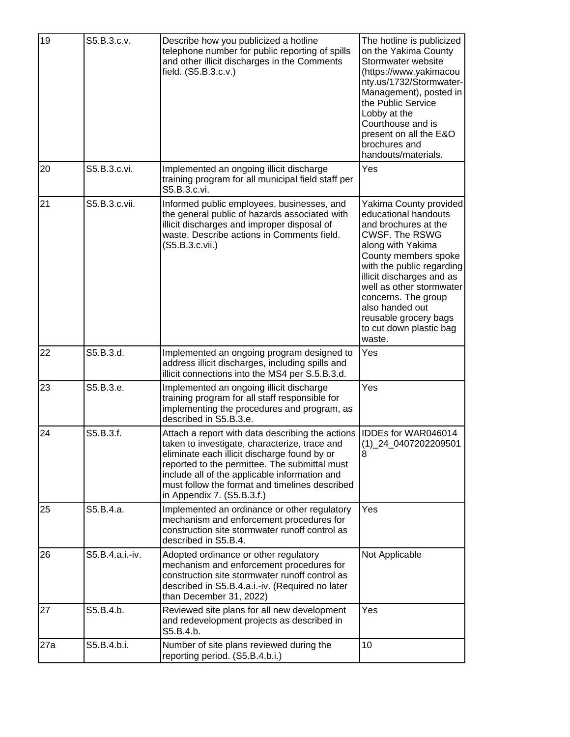| 19  | S5.B.3.c.v.     | Describe how you publicized a hotline<br>telephone number for public reporting of spills<br>and other illicit discharges in the Comments<br>field. (S5.B.3.c.v.)                                                                                                                                                                    | The hotline is publicized<br>on the Yakima County<br>Stormwater website<br>(https://www.yakimacou<br>nty.us/1732/Stormwater-<br>Management), posted in<br>the Public Service<br>Lobby at the<br>Courthouse and is<br>present on all the E&O<br>brochures and<br>handouts/materials.                                                        |
|-----|-----------------|-------------------------------------------------------------------------------------------------------------------------------------------------------------------------------------------------------------------------------------------------------------------------------------------------------------------------------------|--------------------------------------------------------------------------------------------------------------------------------------------------------------------------------------------------------------------------------------------------------------------------------------------------------------------------------------------|
| 20  | S5.B.3.c.vi.    | Implemented an ongoing illicit discharge<br>training program for all municipal field staff per<br>S5.B.3.c.vi.                                                                                                                                                                                                                      | Yes                                                                                                                                                                                                                                                                                                                                        |
| 21  | S5.B.3.c.vii.   | Informed public employees, businesses, and<br>the general public of hazards associated with<br>illicit discharges and improper disposal of<br>waste. Describe actions in Comments field.<br>(S5.B.3.c.vii.)                                                                                                                         | Yakima County provided<br>educational handouts<br>and brochures at the<br><b>CWSF. The RSWG</b><br>along with Yakima<br>County members spoke<br>with the public regarding<br>illicit discharges and as<br>well as other stormwater<br>concerns. The group<br>also handed out<br>reusable grocery bags<br>to cut down plastic bag<br>waste. |
| 22  | S5.B.3.d.       | Implemented an ongoing program designed to<br>address illicit discharges, including spills and<br>illicit connections into the MS4 per S.5.B.3.d.                                                                                                                                                                                   | Yes                                                                                                                                                                                                                                                                                                                                        |
| 23  | S5.B.3.e.       | Implemented an ongoing illicit discharge<br>training program for all staff responsible for<br>implementing the procedures and program, as<br>described in S5.B.3.e.                                                                                                                                                                 | Yes                                                                                                                                                                                                                                                                                                                                        |
| 24  | S5.B.3.f.       | Attach a report with data describing the actions<br>taken to investigate, characterize, trace and<br>eliminate each illicit discharge found by or<br>reported to the permittee. The submittal must<br>include all of the applicable information and<br>must follow the format and timelines described<br>in Appendix 7. (S5.B.3.f.) | <b>IDDEs for WAR046014</b><br>$(1)$ <sup>24</sup> <sub>0407202209501</sub><br>8                                                                                                                                                                                                                                                            |
| 25  | S5.B.4.a.       | Implemented an ordinance or other regulatory<br>mechanism and enforcement procedures for<br>construction site stormwater runoff control as<br>described in S5.B.4.                                                                                                                                                                  | Yes                                                                                                                                                                                                                                                                                                                                        |
| 26  | S5.B.4.a.i.-iv. | Adopted ordinance or other regulatory<br>mechanism and enforcement procedures for<br>construction site stormwater runoff control as<br>described in S5.B.4.a.i.-iv. (Required no later<br>than December 31, 2022)                                                                                                                   | Not Applicable                                                                                                                                                                                                                                                                                                                             |
| 27  | S5.B.4.b.       | Reviewed site plans for all new development<br>and redevelopment projects as described in<br>S5.B.4.b.                                                                                                                                                                                                                              | Yes                                                                                                                                                                                                                                                                                                                                        |
| 27a | S5.B.4.b.i.     | Number of site plans reviewed during the<br>reporting period. (S5.B.4.b.i.)                                                                                                                                                                                                                                                         | 10                                                                                                                                                                                                                                                                                                                                         |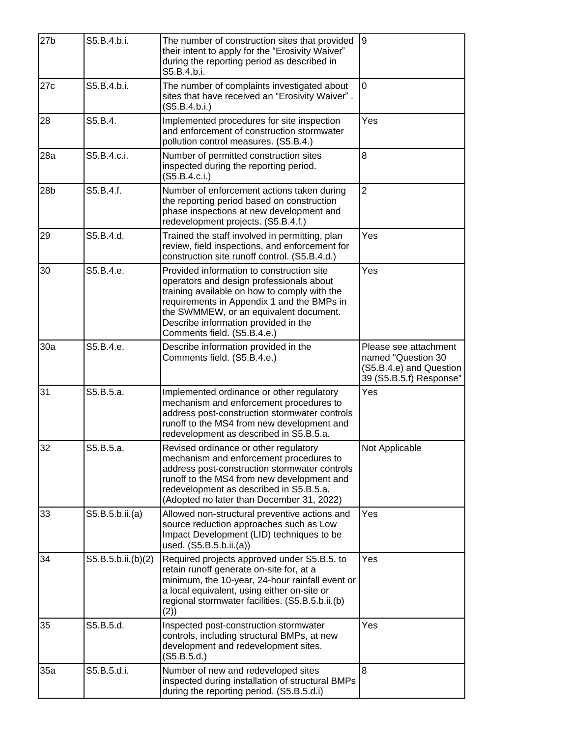| 27 <sub>b</sub> | S5.B.4.b.i.        | The number of construction sites that provided<br>their intent to apply for the "Erosivity Waiver"<br>during the reporting period as described in<br>S5.B.4.b.i.                                                                                                                                     | 9                                                                                                 |
|-----------------|--------------------|------------------------------------------------------------------------------------------------------------------------------------------------------------------------------------------------------------------------------------------------------------------------------------------------------|---------------------------------------------------------------------------------------------------|
| 27c             | S5.B.4.b.i.        | The number of complaints investigated about<br>sites that have received an "Erosivity Waiver".<br>(S5.B.4.b.i.)                                                                                                                                                                                      | 0                                                                                                 |
| 28              | S5.B.4.            | Implemented procedures for site inspection<br>and enforcement of construction stormwater<br>pollution control measures. (S5.B.4.)                                                                                                                                                                    | Yes                                                                                               |
| 28a             | S5.B.4.c.i.        | Number of permitted construction sites<br>inspected during the reporting period.<br>(S5.B.4.c.i.)                                                                                                                                                                                                    | 8                                                                                                 |
| 28 <sub>b</sub> | S5.B.4.f.          | Number of enforcement actions taken during<br>the reporting period based on construction<br>phase inspections at new development and<br>redevelopment projects. (S5.B.4.f.)                                                                                                                          | $\overline{2}$                                                                                    |
| 29              | S5.B.4.d.          | Trained the staff involved in permitting, plan<br>review, field inspections, and enforcement for<br>construction site runoff control. (S5.B.4.d.)                                                                                                                                                    | Yes                                                                                               |
| 30              | S5.B.4.e.          | Provided information to construction site<br>operators and design professionals about<br>training available on how to comply with the<br>requirements in Appendix 1 and the BMPs in<br>the SWMMEW, or an equivalent document.<br>Describe information provided in the<br>Comments field. (S5.B.4.e.) | Yes                                                                                               |
| 30a             | S5.B.4.e.          | Describe information provided in the<br>Comments field. (S5.B.4.e.)                                                                                                                                                                                                                                  | Please see attachment<br>named "Question 30<br>(S5.B.4.e) and Question<br>39 (S5.B.5.f) Response" |
| 31              | S5.B.5.a.          | Implemented ordinance or other regulatory<br>mechanism and enforcement procedures to<br>address post-construction stormwater controls<br>runoff to the MS4 from new development and<br>redevelopment as described in S5.B.5.a.                                                                       | Yes                                                                                               |
| 32              | S5.B.5.a.          | Revised ordinance or other regulatory<br>mechanism and enforcement procedures to<br>address post-construction stormwater controls<br>runoff to the MS4 from new development and<br>redevelopment as described in S5.B.5.a.<br>(Adopted no later than December 31, 2022)                              | Not Applicable                                                                                    |
| 33              | S5.B.5.b.ii.(a)    | Allowed non-structural preventive actions and<br>source reduction approaches such as Low<br>Impact Development (LID) techniques to be<br>used. (S5.B.5.b.ii.(a))                                                                                                                                     | Yes                                                                                               |
| 34              | S5.B.5.b.ii.(b)(2) | Required projects approved under S5.B.5. to<br>retain runoff generate on-site for, at a<br>minimum, the 10-year, 24-hour rainfall event or<br>a local equivalent, using either on-site or<br>regional stormwater facilities. (S5.B.5.b.ii.(b)<br>(2)                                                 | Yes                                                                                               |
| 35              | S5.B.5.d.          | Inspected post-construction stormwater<br>controls, including structural BMPs, at new<br>development and redevelopment sites.<br>(S5.B.5.d.)                                                                                                                                                         | Yes                                                                                               |
| 35a             | S5.B.5.d.i.        | Number of new and redeveloped sites<br>inspected during installation of structural BMPs<br>during the reporting period. (S5.B.5.d.i)                                                                                                                                                                 | 8                                                                                                 |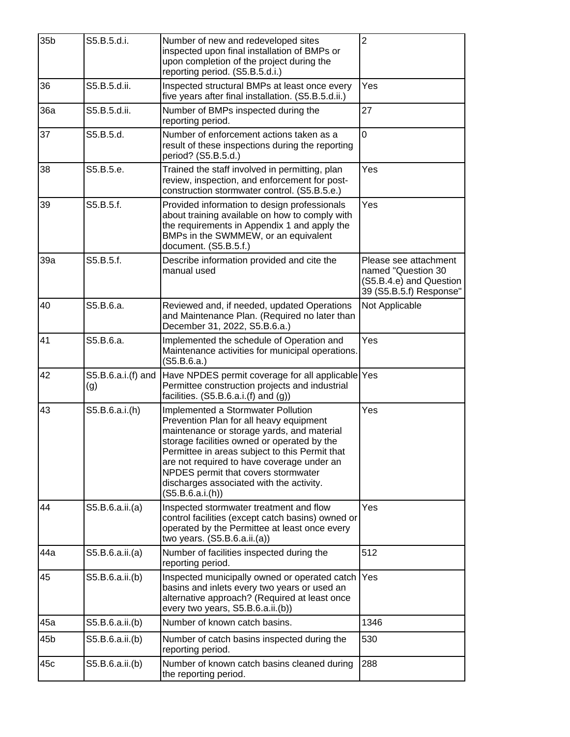| 35 <sub>b</sub> | S5.B.5.d.i.               | Number of new and redeveloped sites<br>inspected upon final installation of BMPs or<br>upon completion of the project during the<br>reporting period. (S5.B.5.d.i.)                                                                                                                                                                                                               | $\overline{2}$                                                                                    |
|-----------------|---------------------------|-----------------------------------------------------------------------------------------------------------------------------------------------------------------------------------------------------------------------------------------------------------------------------------------------------------------------------------------------------------------------------------|---------------------------------------------------------------------------------------------------|
| 36              | S5.B.5.d.ii.              | Inspected structural BMPs at least once every<br>five years after final installation. (S5.B.5.d.ii.)                                                                                                                                                                                                                                                                              | Yes                                                                                               |
| 36a             | S5.B.5.d.ii.              | Number of BMPs inspected during the<br>reporting period.                                                                                                                                                                                                                                                                                                                          | 27                                                                                                |
| 37              | S5.B.5.d.                 | Number of enforcement actions taken as a<br>result of these inspections during the reporting<br>period? (S5.B.5.d.)                                                                                                                                                                                                                                                               | 0                                                                                                 |
| 38              | S5.B.5.e.                 | Trained the staff involved in permitting, plan<br>review, inspection, and enforcement for post-<br>construction stormwater control. (S5.B.5.e.)                                                                                                                                                                                                                                   | Yes                                                                                               |
| 39              | S5.B.5.f.                 | Provided information to design professionals<br>about training available on how to comply with<br>the requirements in Appendix 1 and apply the<br>BMPs in the SWMMEW, or an equivalent<br>document. (S5.B.5.f.)                                                                                                                                                                   | Yes                                                                                               |
| 39a             | S5.B.5.f.                 | Describe information provided and cite the<br>manual used                                                                                                                                                                                                                                                                                                                         | Please see attachment<br>named "Question 30<br>(S5.B.4.e) and Question<br>39 (S5.B.5.f) Response" |
| 40              | S5.B.6.a.                 | Reviewed and, if needed, updated Operations<br>and Maintenance Plan. (Required no later than<br>December 31, 2022, S5.B.6.a.)                                                                                                                                                                                                                                                     | Not Applicable                                                                                    |
| 41              | S5.B.6.a.                 | Implemented the schedule of Operation and<br>Maintenance activities for municipal operations.<br>(S5.B.6.a.)                                                                                                                                                                                                                                                                      | Yes                                                                                               |
| 42              | S5.B.6.a.i.(f) and<br>(g) | Have NPDES permit coverage for all applicable Yes<br>Permittee construction projects and industrial<br>facilities. $(S5.B.6.a.i.(f) and (g))$                                                                                                                                                                                                                                     |                                                                                                   |
| 43              | S5.B.6.a.i.(h)            | Implemented a Stormwater Pollution<br>Prevention Plan for all heavy equipment<br>maintenance or storage yards, and material<br>storage facilities owned or operated by the<br>Permittee in areas subject to this Permit that<br>are not required to have coverage under an<br>NPDES permit that covers stormwater<br>discharges associated with the activity.<br>(S5.B.6.a.i.(h)) | Yes                                                                                               |
| 44              | S5.B.6.a.ii.(a)           | Inspected stormwater treatment and flow<br>control facilities (except catch basins) owned or<br>operated by the Permittee at least once every<br>two years. (S5.B.6.a.ii.(a))                                                                                                                                                                                                     | Yes                                                                                               |
| 44a             | S5.B.6.a.ii.(a)           | Number of facilities inspected during the<br>reporting period.                                                                                                                                                                                                                                                                                                                    | 512                                                                                               |
| 45              | S5.B.6.a.ii.(b)           | Inspected municipally owned or operated catch<br>basins and inlets every two years or used an<br>alternative approach? (Required at least once<br>every two years, S5.B.6.a.ii.(b))                                                                                                                                                                                               | Yes                                                                                               |
| 45a             | S5.B.6.a.ii.(b)           | Number of known catch basins.                                                                                                                                                                                                                                                                                                                                                     | 1346                                                                                              |
| 45b             | S5.B.6.a.ii.(b)           | Number of catch basins inspected during the<br>reporting period.                                                                                                                                                                                                                                                                                                                  | 530                                                                                               |
| 45c             | S5.B.6.a.ii.(b)           | Number of known catch basins cleaned during<br>the reporting period.                                                                                                                                                                                                                                                                                                              | 288                                                                                               |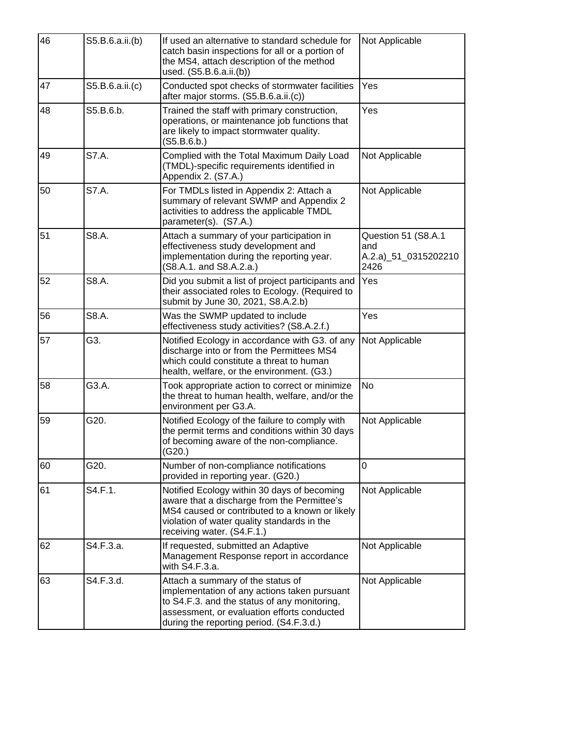| 46 | S5.B.6.a.ii.(b) | If used an alternative to standard schedule for<br>catch basin inspections for all or a portion of<br>the MS4, attach description of the method<br>used. (S5.B.6.a.ii.(b))                                                   | Not Applicable                                             |
|----|-----------------|------------------------------------------------------------------------------------------------------------------------------------------------------------------------------------------------------------------------------|------------------------------------------------------------|
| 47 | S5.B.6.a.ii.(c) | Conducted spot checks of stormwater facilities<br>after major storms. (S5.B.6.a.ii.(c))                                                                                                                                      | Yes                                                        |
| 48 | S5.B.6.b.       | Trained the staff with primary construction,<br>operations, or maintenance job functions that<br>are likely to impact stormwater quality.<br>(S5.B.6.b.)                                                                     | Yes                                                        |
| 49 | S7.A.           | Complied with the Total Maximum Daily Load<br>(TMDL)-specific requirements identified in<br>Appendix 2. (S7.A.)                                                                                                              | Not Applicable                                             |
| 50 | S7.A.           | For TMDLs listed in Appendix 2: Attach a<br>summary of relevant SWMP and Appendix 2<br>activities to address the applicable TMDL<br>parameter(s). (S7.A.)                                                                    | Not Applicable                                             |
| 51 | S8.A.           | Attach a summary of your participation in<br>effectiveness study development and<br>implementation during the reporting year.<br>(S8.A.1. and S8.A.2.a.)                                                                     | Question 51 (S8.A.1<br>and<br>A.2.a) 51_0315202210<br>2426 |
| 52 | S8.A.           | Did you submit a list of project participants and<br>their associated roles to Ecology. (Required to<br>submit by June 30, 2021, S8.A.2.b)                                                                                   | Yes                                                        |
| 56 | S8.A.           | Was the SWMP updated to include<br>effectiveness study activities? (S8.A.2.f.)                                                                                                                                               | Yes                                                        |
| 57 | G3.             | Notified Ecology in accordance with G3. of any<br>discharge into or from the Permittees MS4<br>which could constitute a threat to human<br>health, welfare, or the environment. (G3.)                                        | Not Applicable                                             |
| 58 | G3.A.           | Took appropriate action to correct or minimize<br>the threat to human health, welfare, and/or the<br>environment per G3.A.                                                                                                   | <b>No</b>                                                  |
| 59 | G20.            | Notified Ecology of the failure to comply with<br>the permit terms and conditions within 30 days<br>of becoming aware of the non-compliance.<br>(G20.)                                                                       | Not Applicable                                             |
| 60 | G20.            | Number of non-compliance notifications<br>provided in reporting year. (G20.)                                                                                                                                                 | 0                                                          |
| 61 | S4.F.1.         | Notified Ecology within 30 days of becoming<br>aware that a discharge from the Permittee's<br>MS4 caused or contributed to a known or likely<br>violation of water quality standards in the<br>receiving water. (S4.F.1.)    | Not Applicable                                             |
| 62 | S4.F.3.a.       | If requested, submitted an Adaptive<br>Management Response report in accordance<br>with S4.F.3.a.                                                                                                                            | Not Applicable                                             |
| 63 | S4.F.3.d.       | Attach a summary of the status of<br>implementation of any actions taken pursuant<br>to S4.F.3. and the status of any monitoring,<br>assessment, or evaluation efforts conducted<br>during the reporting period. (S4.F.3.d.) | Not Applicable                                             |